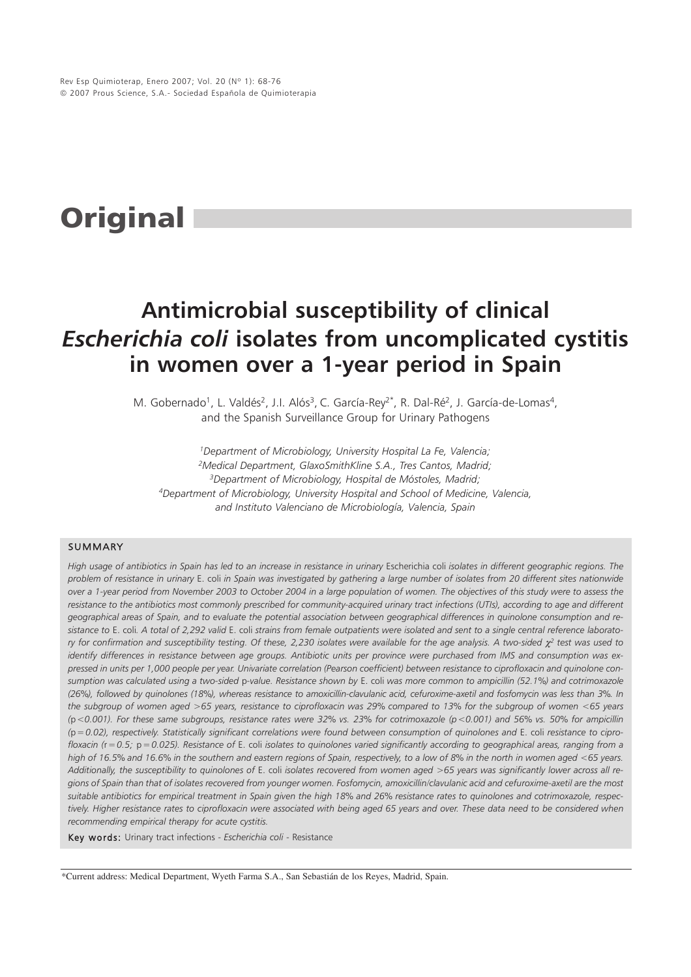# **Original**

## **Antimicrobial susceptibility of clinical** *Escherichia coli* **isolates from uncomplicated cystitis in women over a 1-year period in Spain**

M. Gobernado<sup>1</sup>, L. Valdés<sup>2</sup>, J.I. Alós<sup>3</sup>, C. García-Rey<sup>2\*</sup>, R. Dal-Ré<sup>2</sup>, J. García-de-Lomas<sup>4</sup>, and the Spanish Surveillance Group for Urinary Pathogens

*1Department of Microbiology, University Hospital La Fe, Valencia; 2Medical Department, GlaxoSmithKline S.A., Tres Cantos, Madrid; 3Department of Microbiology, Hospital de Móstoles, Madrid; 4Department of Microbiology, University Hospital and School of Medicine, Valencia, and Instituto Valenciano de Microbiología, Valencia, Spain*

#### SUMMARY

High usage of antibiotics in Spain has led to an increase in resistance in urinary Escherichia coli *isolates in different geographic regions*. The *problem of resistance in urinary* E. coli *in Spain was investigated by gathering a large number of isolates from 20 different sites nationwide over a 1-year period from November 2003 to October 2004 in a large population of women. The objectives of this study were to assess the resistance to the antibiotics most commonly prescribed for community-acquired urinary tract infections (UTIs), according to age and different geographical areas of Spain, and to evaluate the potential association between geographical differences in quinolone consumption and resistance to* E. coli*. A total of 2,292 valid* E. coli *strains from female outpatients were isolated and sent to a single central reference laboratory for confirmation and susceptibility testing. Of these, 2,230 isolates were available for the age analysis. A two-sided* χ*<sup>2</sup> test was used to identify differences in resistance between age groups. Antibiotic units per province were purchased from IMS and consumption was expressed in units per 1,000 people per year. Univariate correlation (Pearson coefficient) between resistance to ciprofloxacin and quinolone consumption was calculated using a two-sided* p*-value. Resistance shown by* E. coli *was more common to ampicillin (52.1%) and cotrimoxazole (26%), followed by quinolones (18%), whereas resistance to amoxicillin-clavulanic acid, cefuroxime-axetil and fosfomycin was less than 3%. In the subgroup of women aged >65 years, resistance to ciprofloxacin was 29% compared to 13% for the subgroup of women <65 years (*p*<0.001). For these same subgroups, resistance rates were 32% vs. 23% for cotrimoxazole (p<0.001) and 56% vs. 50% for ampicillin (*p*=0.02), respectively. Statistically significant correlations were found between consumption of quinolones and* E. coli *resistance to ciprofloxacin (*r*=0.5;* p*=0.025). Resistance of* E. coli *isolates to quinolones varied significantly according to geographical areas, ranging from a high of 16.5% and 16.6% in the southern and eastern regions of Spain, respectively, to a low of 8% in the north in women aged <65 years. Additionally, the susceptibility to quinolones of* E. coli *isolates recovered from women aged >65 years was significantly lower across all regions of Spain than that of isolates recovered from younger women. Fosfomycin, amoxicillin/clavulanic acid and cefuroxime-axetil are the most suitable antibiotics for empirical treatment in Spain given the high 18% and 26% resistance rates to quinolones and cotrimoxazole, respectively. Higher resistance rates to ciprofloxacin were associated with being aged 65 years and over. These data need to be considered when recommending empirical therapy for acute cystitis.*

Key words: Urinary tract infections - *Escherichia coli* - Resistance

\*Current address: Medical Department, Wyeth Farma S.A., San Sebastián de los Reyes, Madrid, Spain.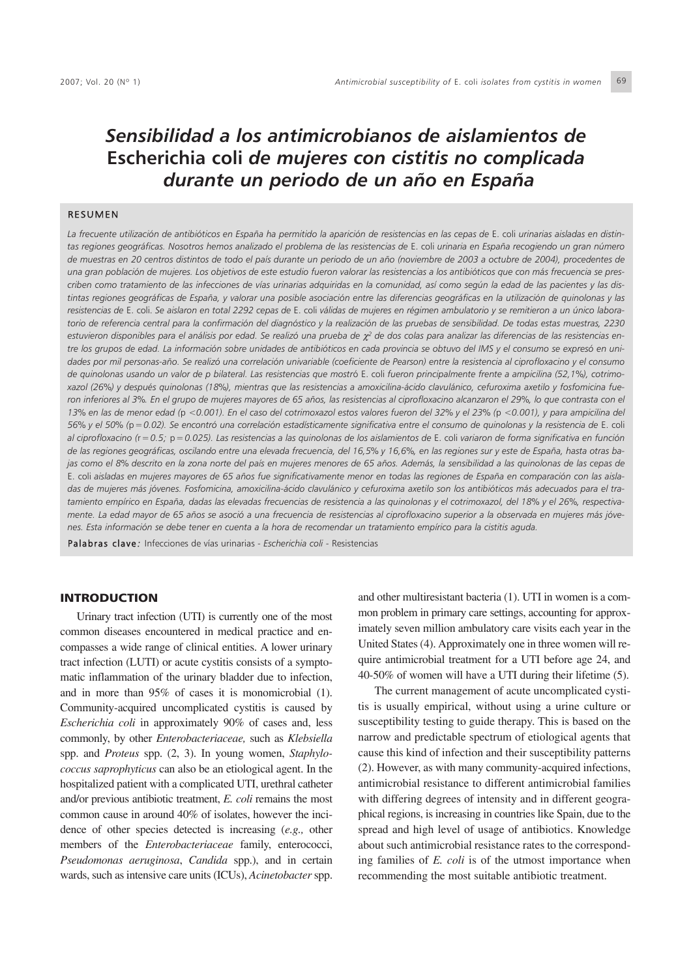### *Sensibilidad a los antimicrobianos de aislamientos de* **Escherichia coli** *de mujeres con cistitis no complicada durante un periodo de un año en España*

#### RESUMEN

*La frecuente utilización de antibióticos en España ha permitido la aparición de resistencias en las cepas de* E. coli *urinarias aisladas en distintas regiones geográficas. Nosotros hemos analizado el problema de las resistencias de* E. coli *urinaria en España recogiendo un gran número de muestras en 20 centros distintos de todo el país durante un periodo de un año (noviembre de 2003 a octubre de 2004), procedentes de una gran población de mujeres. Los objetivos de este estudio fueron valorar las resistencias a los antibióticos que con más frecuencia se prescriben como tratamiento de las infecciones de vías urinarias adquiridas en la comunidad, así como según la edad de las pacientes y las distintas regiones geográficas de España, y valorar una posible asociación entre las diferencias geográficas en la utilización de quinolonas y las resistencias de* E. coli. *Se aislaron en total 2292 cepas de* E. coli *válidas de mujeres en régimen ambulatorio y se remitieron a un único laboratorio de referencia central para la confirmación del diagnóstico y la realización de las pruebas de sensibilidad. De todas estas muestras, 2230* estuvieron disponibles para el análisis por edad. Se realizó una prueba de χ<sup>2</sup> de dos colas para analizar las diferencias de las resistencias en*tre los grupos de edad. La información sobre unidades de antibióticos en cada provincia se obtuvo del IMS y el consumo se expresó en unidades por mil personas-año. Se realizó una correlación univariable (coeficiente de Pearson) entre la resistencia al ciprofloxacino y el consumo de quinolonas usando un valor de p bilateral. Las resistencias que mostr*ó E. coli *fueron principalmente frente a ampicilina (52,1%), cotrimoxazol (26%) y después quinolonas (18%), mientras que las resistencias a amoxicilina-ácido clavulánico, cefuroxima axetilo y fosfomicina fueron inferiores al 3%. En el grupo de mujeres mayores de 65 años, las resistencias al ciprofloxacino alcanzaron el 29%, lo que contrasta con el 13% en las de menor edad (*p *<0.001). En el caso del cotrimoxazol estos valores fueron del 32% y el 23% (*p *<0.001), y para ampicilina del 56% y el 50% (*p*=0.02). Se encontró una correlación estadísticamente significativa entre el consumo de quinolonas y la resistencia de* E. coli *al ciprofloxacino (*r*=0.5;* p*=0.025). Las resistencias a las quinolonas de los aislamientos de* E. coli *variaron de forma significativa en función de las regiones geográficas, oscilando entre una elevada frecuencia, del 16,5% y 16,6%, en las regiones sur y este de España, hasta otras bajas como el 8% descrito en la zona norte del país en mujeres menores de 65 años. Además, la sensibilidad a las quinolonas de las cepas de* E. coli *aisladas en mujeres mayores de 65 años fue significativamente menor en todas las regiones de España en comparación con las aisladas de mujeres más jóvenes. Fosfomicina, amoxicilina-ácido clavulánico y cefuroxima axetilo son los antibióticos más adecuados para el tratamiento empírico en España, dadas las elevadas frecuencias de resistencia a las quinolonas y el cotrimoxazol, del 18% y el 26%, respectivamente. La edad mayor de 65 años se asoció a una frecuencia de resistencias al ciprofloxacino superior a la observada en mujeres más jóvenes. Esta información se debe tener en cuenta a la hora de recomendar un tratamiento empírico para la cistitis aguda.*

Palabras clave *:* Infecciones de vías urinarias - *Escherichia coli* - Resistencias

#### INTRODUCTION

Urinary tract infection (UTI) is currently one of the most common diseases encountered in medical practice and encompasses a wide range of clinical entities. A lower urinary tract infection (LUTI) or acute cystitis consists of a symptomatic inflammation of the urinary bladder due to infection, and in more than 95% of cases it is monomicrobial (1). Community-acquired uncomplicated cystitis is caused by *Escherichia coli* in approximately 90% of cases and, less commonly, by other *Enterobacteriaceae,* such as *Klebsiella* spp. and *Proteus* spp. (2, 3). In young women, *Staphylococcus saprophyticus* can also be an etiological agent. In the hospitalized patient with a complicated UTI, urethral catheter and/or previous antibiotic treatment, *E. coli* remains the most common cause in around 40% of isolates, however the incidence of other species detected is increasing (*e.g.,* other members of the *Enterobacteriaceae* family, enterococci, *Pseudomonas aeruginosa*, *Candida* spp.), and in certain wards, such as intensive care units (ICUs), *Acinetobacter* spp.

and other multiresistant bacteria (1). UTI in women is a common problem in primary care settings, accounting for approximately seven million ambulatory care visits each year in the United States (4). Approximately one in three women will require antimicrobial treatment for a UTI before age 24, and 40-50% of women will have a UTI during their lifetime (5).

The current management of acute uncomplicated cystitis is usually empirical, without using a urine culture or susceptibility testing to guide therapy. This is based on the narrow and predictable spectrum of etiological agents that cause this kind of infection and their susceptibility patterns (2). However, as with many community-acquired infections, antimicrobial resistance to different antimicrobial families with differing degrees of intensity and in different geographical regions, is increasing in countries like Spain, due to the spread and high level of usage of antibiotics. Knowledge about such antimicrobial resistance rates to the corresponding families of *E. coli* is of the utmost importance when recommending the most suitable antibiotic treatment.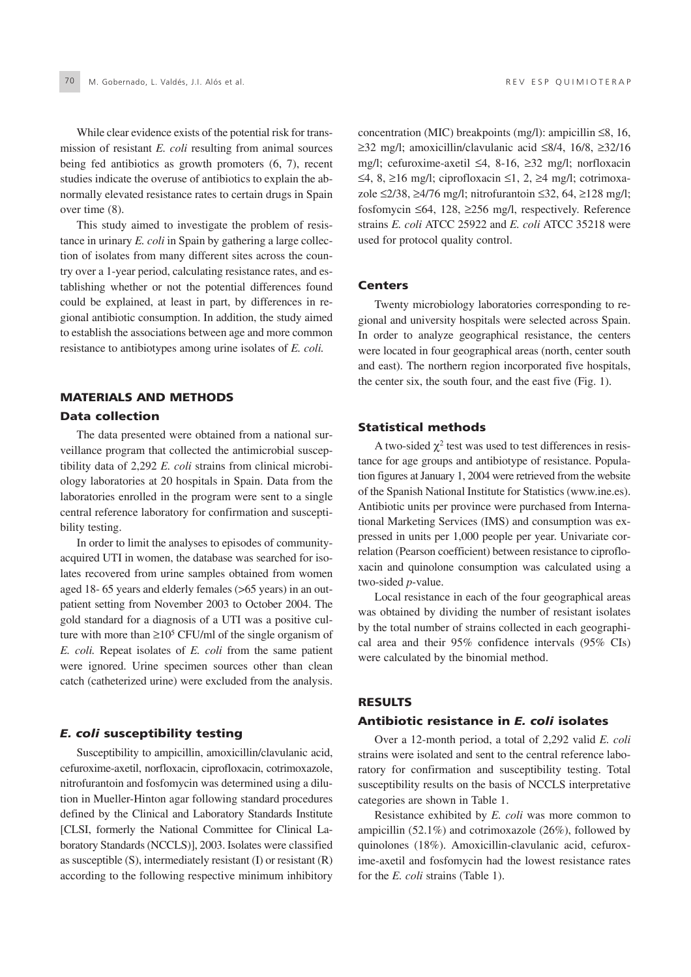While clear evidence exists of the potential risk for transmission of resistant *E. coli* resulting from animal sources being fed antibiotics as growth promoters (6, 7), recent studies indicate the overuse of antibiotics to explain the abnormally elevated resistance rates to certain drugs in Spain over time (8).

This study aimed to investigate the problem of resistance in urinary *E. coli* in Spain by gathering a large collection of isolates from many different sites across the country over a 1-year period, calculating resistance rates, and establishing whether or not the potential differences found could be explained, at least in part, by differences in regional antibiotic consumption. In addition, the study aimed to establish the associations between age and more common resistance to antibiotypes among urine isolates of *E. coli.*

#### MATERIALS AND METHODS Data collection

The data presented were obtained from a national surveillance program that collected the antimicrobial susceptibility data of 2,292 *E. coli* strains from clinical microbiology laboratories at 20 hospitals in Spain. Data from the laboratories enrolled in the program were sent to a single central reference laboratory for confirmation and susceptibility testing.

In order to limit the analyses to episodes of communityacquired UTI in women, the database was searched for isolates recovered from urine samples obtained from women aged 18- 65 years and elderly females (>65 years) in an outpatient setting from November 2003 to October 2004. The gold standard for a diagnosis of a UTI was a positive culture with more than  $\geq 10^5$  CFU/ml of the single organism of *E. coli.* Repeat isolates of *E. coli* from the same patient were ignored. Urine specimen sources other than clean catch (catheterized urine) were excluded from the analysis.

#### *E. coli* susceptibility testing

Susceptibility to ampicillin, amoxicillin/clavulanic acid, cefuroxime-axetil, norfloxacin, ciprofloxacin, cotrimoxazole, nitrofurantoin and fosfomycin was determined using a dilution in Mueller-Hinton agar following standard procedures defined by the Clinical and Laboratory Standards Institute [CLSI, formerly the National Committee for Clinical Laboratory Standards (NCCLS)], 2003. Isolates were classified as susceptible (S), intermediately resistant (I) or resistant (R) according to the following respective minimum inhibitory concentration (MIC) breakpoints (mg/l): ampicillin ≤8, 16, ≥32 mg/l; amoxicillin/clavulanic acid ≤8/4, 16/8, ≥32/16 mg/l; cefuroxime-axetil ≤4, 8-16, ≥32 mg/l; norfloxacin ≤4, 8, ≥16 mg/l; ciprofloxacin ≤1, 2, ≥4 mg/l; cotrimoxazole ≤2/38, ≥4/76 mg/l; nitrofurantoin ≤32, 64, ≥128 mg/l; fosfomycin ≤64, 128, ≥256 mg/l, respectively. Reference strains *E. coli* ATCC 25922 and *E. coli* ATCC 35218 were used for protocol quality control.

#### Centers

Twenty microbiology laboratories corresponding to regional and university hospitals were selected across Spain. In order to analyze geographical resistance, the centers were located in four geographical areas (north, center south and east). The northern region incorporated five hospitals, the center six, the south four, and the east five (Fig. 1).

#### Statistical methods

A two-sided  $\chi^2$  test was used to test differences in resistance for age groups and antibiotype of resistance. Population figures at January 1, 2004 were retrieved from the website of the Spanish National Institute for Statistics (www.ine.es). Antibiotic units per province were purchased from International Marketing Services (IMS) and consumption was expressed in units per 1,000 people per year. Univariate correlation (Pearson coefficient) between resistance to ciprofloxacin and quinolone consumption was calculated using a two-sided *p*-value.

Local resistance in each of the four geographical areas was obtained by dividing the number of resistant isolates by the total number of strains collected in each geographical area and their 95% confidence intervals (95% CIs) were calculated by the binomial method.

#### RESULTS

#### Antibiotic resistance in *E. coli* isolates

Over a 12-month period, a total of 2,292 valid *E. coli* strains were isolated and sent to the central reference laboratory for confirmation and susceptibility testing. Total susceptibility results on the basis of NCCLS interpretative categories are shown in Table 1.

Resistance exhibited by *E. coli* was more common to ampicillin (52.1%) and cotrimoxazole (26%), followed by quinolones (18%). Amoxicillin-clavulanic acid, cefuroxime-axetil and fosfomycin had the lowest resistance rates for the *E. coli* strains (Table 1).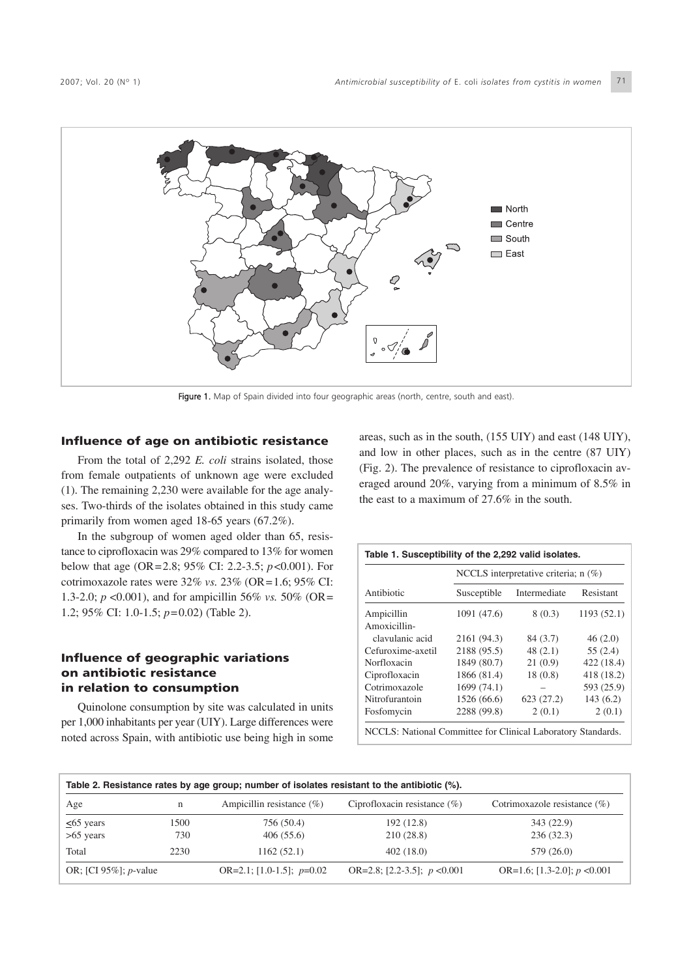

Figure 1. Map of Spain divided into four geographic areas (north, centre, south and east).

#### Influence of age on antibiotic resistance

From the total of 2,292 *E. coli* strains isolated, those from female outpatients of unknown age were excluded (1). The remaining 2,230 were available for the age analyses. Two-thirds of the isolates obtained in this study came primarily from women aged 18-65 years (67.2%).

In the subgroup of women aged older than 65, resistance to ciprofloxacin was 29% compared to 13% for women below that age (OR=2.8; 95% CI: 2.2-3.5; *p*<0.001). For cotrimoxazole rates were 32% *vs.* 23% (OR=1.6; 95% CI: 1.3-2.0; *p* <0.001), and for ampicillin 56% *vs.* 50% (OR= 1.2; 95% CI: 1.0-1.5; *p*=0.02) (Table 2).

#### Influence of geographic variations on antibiotic resistance in relation to consumption

Quinolone consumption by site was calculated in units per 1,000 inhabitants per year (UIY). Large differences were noted across Spain, with antibiotic use being high in some areas, such as in the south, (155 UIY) and east (148 UIY), and low in other places, such as in the centre (87 UIY) (Fig. 2). The prevalence of resistance to ciprofloxacin averaged around 20%, varying from a minimum of 8.5% in the east to a maximum of 27.6% in the south.

|                   |             | NCCLS interpretative criteria; $n$ (%) |            |
|-------------------|-------------|----------------------------------------|------------|
| Antibiotic        | Susceptible | Intermediate                           | Resistant  |
| Ampicillin        | 1091 (47.6) | 8(0.3)                                 | 1193(52.1) |
| Amoxicillin-      |             |                                        |            |
| clavulanic acid   | 2161 (94.3) | 84 (3.7)                               | 46(2.0)    |
| Cefuroxime-axetil | 2188 (95.5) | 48(2.1)                                | 55(2.4)    |
| Norfloxacin       | 1849 (80.7) | 21(0.9)                                | 422 (18.4) |
| Ciprofloxacin     | 1866 (81.4) | 18(0.8)                                | 418 (18.2) |
| Cotrimoxazole     | 1699(74.1)  |                                        | 593 (25.9) |
| Nitrofurantoin    | 1526 (66.6) | 623(27.2)                              | 143(6.2)   |
| Fosfomycin        | 2288 (99.8) | 2(0.1)                                 | 2(0.1)     |

|                                   |             | Table 2. Resistance rates by age group; number of isolates resistant to the antibiotic (%). |                                 |                                 |
|-----------------------------------|-------------|---------------------------------------------------------------------------------------------|---------------------------------|---------------------------------|
| Age                               | n           | Ampicillin resistance $(\% )$                                                               | Ciprofloxacin resistance $(\%)$ | Cotrimoxazole resistance $(\%)$ |
| $\leq$ 65 years<br>$>65$ years    | 1500<br>730 | 756 (50.4)<br>406(55.6)                                                                     | 192 (12.8)<br>210(28.8)         | 343 (22.9)<br>236(32.3)         |
| Total                             | 2230        | 1162(52.1)                                                                                  | 402(18.0)                       | 579 (26.0)                      |
| OR; [CI $95\%$ ]; <i>p</i> -value |             | OR=2.1; [1.0-1.5]; $p=0.02$                                                                 | OR=2.8; [2.2-3.5]; $p < 0.001$  | OR=1.6; [1.3-2.0]; $p < 0.001$  |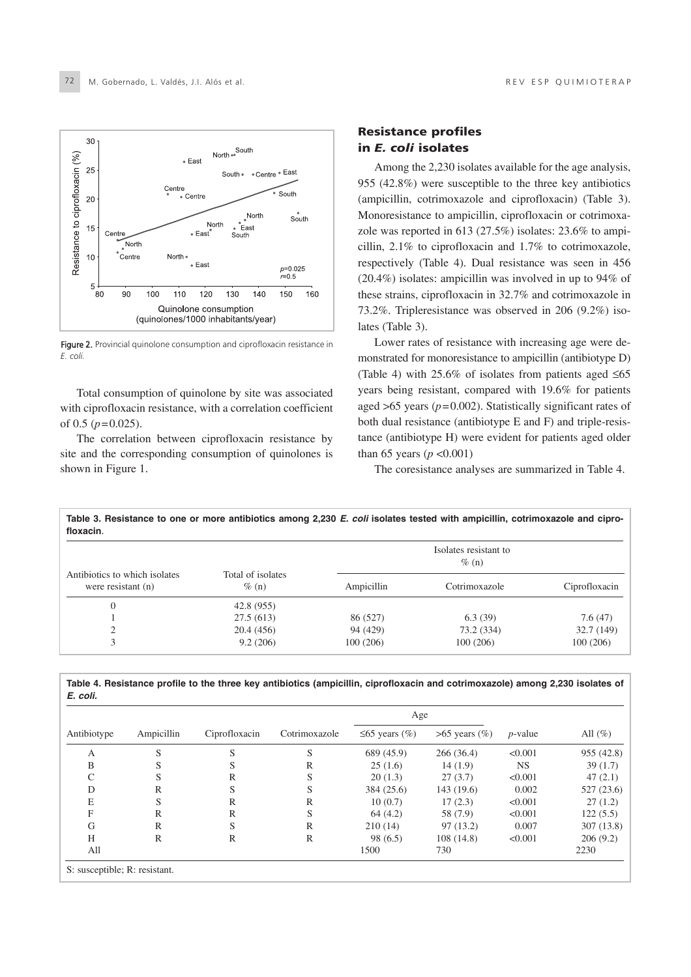

Figure 2. Provincial quinolone consumption and ciprofloxacin resistance in *E. coli.*

Total consumption of quinolone by site was associated with ciprofloxacin resistance, with a correlation coefficient of 0.5 (*p*=0.025).

The correlation between ciprofloxacin resistance by site and the corresponding consumption of quinolones is shown in Figure 1.

#### Resistance profiles in *E. coli* isolates

Among the 2,230 isolates available for the age analysis, 955 (42.8%) were susceptible to the three key antibiotics (ampicillin, cotrimoxazole and ciprofloxacin) (Table 3). Monoresistance to ampicillin, ciprofloxacin or cotrimoxazole was reported in 613 (27.5%) isolates: 23.6% to ampicillin, 2.1% to ciprofloxacin and 1.7% to cotrimoxazole, respectively (Table 4). Dual resistance was seen in 456 (20.4%) isolates: ampicillin was involved in up to 94% of these strains, ciprofloxacin in 32.7% and cotrimoxazole in 73.2%. Tripleresistance was observed in 206 (9.2%) isolates (Table 3).

Lower rates of resistance with increasing age were demonstrated for monoresistance to ampicillin (antibiotype D) (Table 4) with 25.6% of isolates from patients aged  $\leq 65$ years being resistant, compared with 19.6% for patients aged >65 years (*p*=0.002). Statistically significant rates of both dual resistance (antibiotype E and F) and triple-resistance (antibiotype H) were evident for patients aged older than 65 years ( $p < 0.001$ )

The coresistance analyses are summarized in Table 4.

| Table 3. Resistance to one or more antibiotics among 2,230 E. coli isolates tested with ampicillin, cotrimoxazole and cipro-<br>floxacin. |                               |            |                                   |               |
|-------------------------------------------------------------------------------------------------------------------------------------------|-------------------------------|------------|-----------------------------------|---------------|
|                                                                                                                                           |                               |            | Isolates resistant to<br>$\%$ (n) |               |
| Antibiotics to which isolates<br>were resistant $(n)$                                                                                     | Total of isolates<br>$\%$ (n) | Ampicillin | Cotrimoxazole                     | Ciprofloxacin |
| $\mathbf{0}$                                                                                                                              | 42.8(955)                     |            |                                   |               |
|                                                                                                                                           | 27.5(613)                     | 86 (527)   | 6.3(39)                           | 7.6(47)       |
| $\overline{c}$                                                                                                                            | 20.4(456)                     | 94 (429)   | 73.2 (334)                        | 32.7 (149)    |
| 3                                                                                                                                         | 9.2(206)                      | 100(206)   | 100(206)                          | 100(206)      |

**Table 4. Resistance profile to the three key antibiotics (ampicillin, ciprofloxacin and cotrimoxazole) among 2,230 isolates of** *E. coli.*

|             |            |               |               | Age                 |                     |            |            |
|-------------|------------|---------------|---------------|---------------------|---------------------|------------|------------|
| Antibiotype | Ampicillin | Ciprofloxacin | Cotrimoxazole | $\leq 65$ years (%) | $>65$ years $(\% )$ | $p$ -value | All $(\%)$ |
| A           | S          | S             | S             | 689 (45.9)          | 266(36.4)           | < 0.001    | 955 (42.8) |
| B           | S          | S             | R             | 25(1.6)             | 14(1.9)             | <b>NS</b>  | 39(1.7)    |
| C           | S          | R             | S             | 20(1.3)             | 27(3.7)             | < 0.001    | 47(2.1)    |
| D           | R          | S             | S             | 384 (25.6)          | 143(19.6)           | 0.002      | 527(23.6)  |
| E           | S          | R             | R             | 10(0.7)             | 17(2.3)             | < 0.001    | 27(1.2)    |
| F           | R          | $\mathbb{R}$  | S             | 64(4.2)             | 58 (7.9)            | < 0.001    | 122(5.5)   |
| G           | R          | S             | $\mathbb{R}$  | 210(14)             | 97(13.2)            | 0.007      | 307(13.8)  |
| H           | R          | R             | R             | 98(6.5)             | 108(14.8)           | < 0.001    | 206(9.2)   |
| All         |            |               |               | 1500                | 730                 |            | 2230       |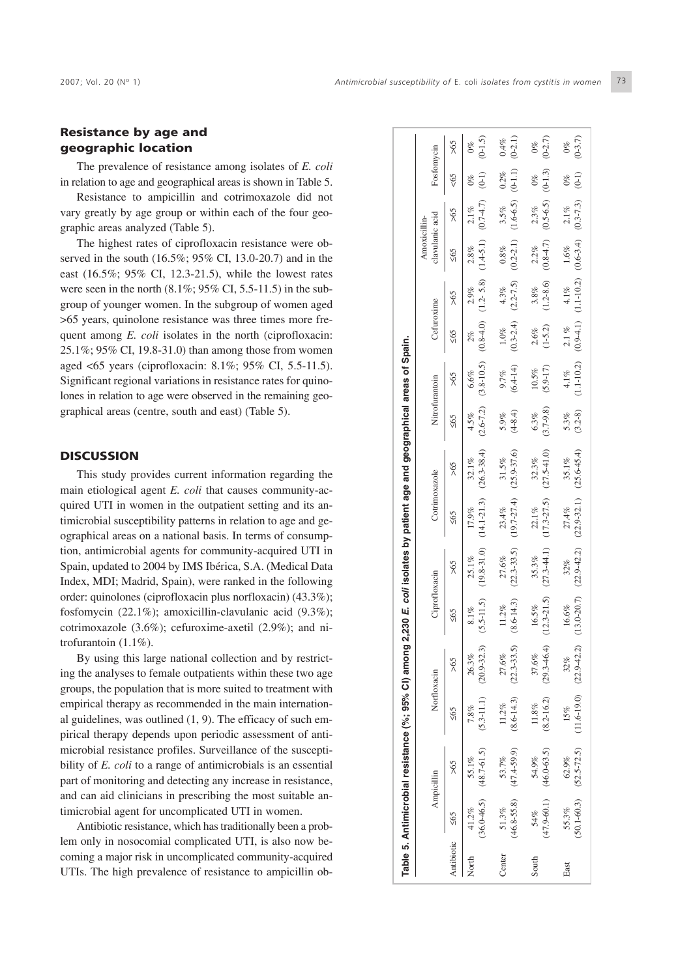#### Resistance by age and geographic location

The prevalence of resistance among isolates of *E. coli* in relation to age and geographical areas is shown in Table 5.

Resistance to ampicillin and cotrimoxazole did not vary greatly by age group or within each of the four geographic areas analyzed (Table 5).

The highest rates of ciprofloxacin resistance were observed in the south (16.5%; 95% CI, 13.0-20.7) and in the east (16.5%; 95% CI, 12.3-21.5), while the lowest rates were seen in the north  $(8.1\%, 95\% \text{ CI}, 5.5-11.5)$  in the subgroup of younger women. In the subgroup of women aged >65 years, quinolone resistance was three times more frequent among *E. coli* isolates in the north (ciprofloxacin: 25.1%; 95% CI, 19.8-31.0) than among those from women aged <65 years (ciprofloxacin: 8.1%; 95% CI, 5.5-11.5). Significant regional variations in resistance rates for quinolones in relation to age were observed in the remaining geographical areas (centre, south and east) (Table 5).

#### **DISCUSSION**

This study provides current information regarding the main etiological agent *E. coli* that causes community-acquired UTI in women in the outpatient setting and its antimicrobial susceptibility patterns in relation to age and geographical areas on a national basis. In terms of consumption, antimicrobial agents for community-acquired UTI in Spain, updated to 2004 by IMS Ibérica, S.A. (Medical Data Index, MDI; Madrid, Spain), were ranked in the following order: quinolones (ciprofloxacin plus norfloxacin) (43.3%); fosfomycin (22.1%); amoxicillin-clavulanic acid (9.3%); cotrimoxazole (3.6%); cefuroxime-axetil (2.9%); and nitrofurantoin (1.1%).

By using this large national collection and by restricting the analyses to female outpatients within these two age groups, the population that is more suited to treatment with empirical therapy as recommended in the main international guidelines, was outlined (1, 9). The efficacy of such empirical therapy depends upon periodic assessment of antimicrobial resistance profiles. Surveillance of the susceptibility of *E. coli* to a range of antimicrobials is an essential part of monitoring and detecting any increase in resistance, and can aid clinicians in prescribing the most suitable antimicrobial agent for uncomplicated UTI in women.

Antibiotic resistance, which has traditionally been a problem only in nosocomial complicated UTI, is also now becoming a major risk in uncomplicated community-acquired UTIs. The high prevalence of resistance to ampicillin ob-

|            |           |                                          | Table 5. Antimicrobial resistance (%; 95% CI) among 2,230 E. <i>coli</i> isolates by patient age and geographical areas of Spain. |                                     |                          |                          |                                                    |                                                                  |                        |                                                                                             |                   |                                                                      |                                 |                                                          |            |                    |
|------------|-----------|------------------------------------------|-----------------------------------------------------------------------------------------------------------------------------------|-------------------------------------|--------------------------|--------------------------|----------------------------------------------------|------------------------------------------------------------------|------------------------|---------------------------------------------------------------------------------------------|-------------------|----------------------------------------------------------------------|---------------------------------|----------------------------------------------------------|------------|--------------------|
|            |           | Ampicillin                               | Norfloxacin                                                                                                                       |                                     | Ciprofloxacin            |                          | Cotrimoxazole                                      |                                                                  | Nitrofurantoin         |                                                                                             | Cefuroxime        |                                                                      | clavulanic acid<br>Amoxicillin- |                                                          | Fosfomycin |                    |
| Antibiotic | $\leq 65$ | 59<                                      | $\leq 65$                                                                                                                         | 598                                 | $\leq 65$                | $\frac{29}{5}$           | $\leq 65$                                          | >65                                                              | $\leq 65$              | 59<                                                                                         | $\leq 65$         | 59<                                                                  | $\leq 65$                       | 59<                                                      |            | >65                |
| North      | 41.2%     | 55.1%                                    | $(36.0-46.5)$ $(48.7-61.5)$ $(5.3-11.1)$ $(20.9-32.3)$<br>$7.8\%$                                                                 | 26.3%                               | $(5.5-11.5)$<br>$8.1\%$  | 25.1%                    | 17.9%                                              | $(19.8-31.0)$ $(14.1-21.3)$ $(26.3-38.4)$<br>32.1%               | 4.5%                   | $(2.6-7.2)$ $(3.8-10.5)$ $(0.8-4.0)$ $(1.2-5.8)$ $(1.4-5.1)$ $(0.7-4.7)$ $(0-1)$<br>$6.6\%$ | 2%                | 2.9%                                                                 | 2.8%                            | $2.1\%$                                                  |            | $(0-1.5)$          |
| Center     | 51.3%     | $(46.8 - 55.8)$ $(47.4 - 59.9)$<br>53.7% | 11.2%                                                                                                                             | $(8.6-14.3)$ $(22.3-33.5)$<br>27.6% | $(8.6 - 14.3)$<br>11.2%  | 27.6%                    | $(22.3-33.5)$ $(19.7-27.4)$ $(25.9-37.6)$<br>23.4% | 31.5%                                                            | $(4-8.4)$<br>5.9%      | $(6.4 - 14)$<br>9.7%                                                                        | $1.0\%$           | $(0.3-2.4)$ $(2.2-7.5)$ $(0.2-2.1)$ $(1.6-6.5)$ $(0-1.1)$<br>$4.3\%$ | $0.8\%$                         | 3.5%                                                     | $0.2\%$    | $(0-2.1)$<br>0.4%  |
| South      | 54%       | $(47.9 - 60.1)$ $(46.0 - 63.5)$<br>54.9% | $11.8\%$                                                                                                                          | $(8.2-16.2)$ $(29.3-46.4)$<br>37.6% | $(12.3 - 21.5)$<br>16.5% | $(27.3 - 44.1)$<br>35.3% | $22.1\%$                                           | $(17.3 - 27.5)$ $(27.5 - 41.0)$<br>32.3%                         | $(3.7-9.8)$<br>$6.3\%$ | $(5.9 - 17)$<br>10.5%                                                                       | $(1-5.2)$<br>2.6% | $3.8\%$                                                              | $2.2\%$                         | $(1.2-8.6)$ $(0.8-4.7)$ $(0.5-6.5)$ $(0-1.3)$<br>$2.3\%$ | $0\%$      | $(0-2.7)$<br>$0\%$ |
| East       | 55.3%     | $62.9\%$                                 | $(50.1-60.3)$ $(52.5-72.5)$ $(11.6-19.0)$ $(22.9-42.2)$<br>15%                                                                    | 32%                                 | 16.6%                    | 32%                      | 27.4%                                              | $(13.0-20.7)$ $(22.9-42.2)$ $(22.9-32.1)$ $(25.6-45.4)$<br>35.1% | $(3.2-8)$<br>5.3%      | $(1.1-10.2)$ $(0.9-4.1)$ $(1.1-10.2)$ $(0.6-3.4)$ $(0.3-7.3)$ $(0-1)$<br>4.1%               | $2.1\%$           | $4.1\%$                                                              | $1.6\%$                         | $2.1\%$                                                  | $0\%$      | $(0-3.7)$<br>$0\%$ |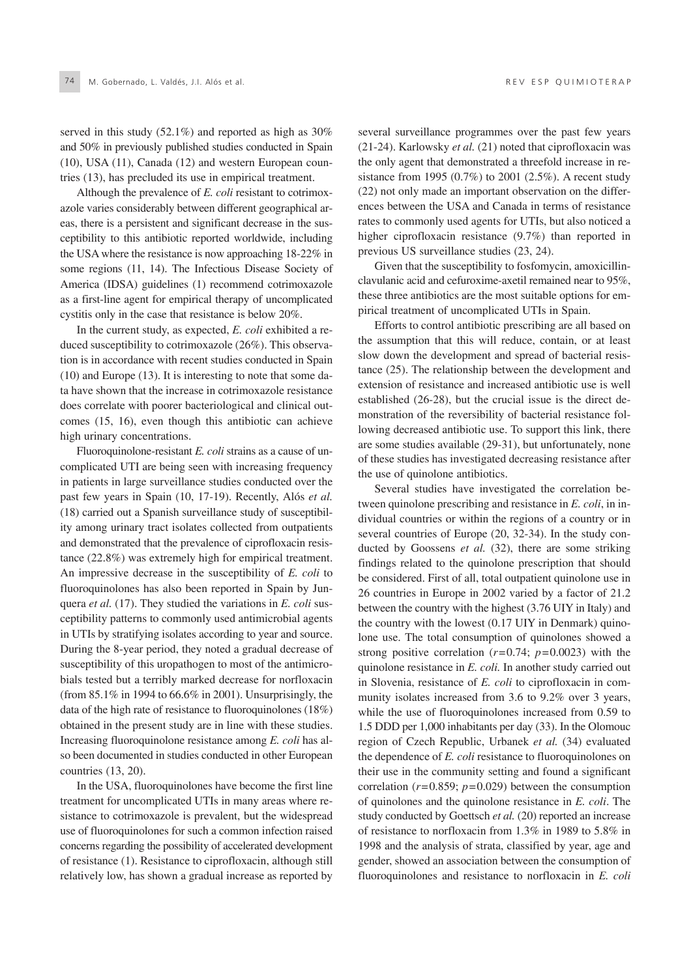served in this study (52.1%) and reported as high as 30% and 50% in previously published studies conducted in Spain (10), USA (11), Canada (12) and western European countries (13), has precluded its use in empirical treatment.

Although the prevalence of *E. coli* resistant to cotrimoxazole varies considerably between different geographical areas, there is a persistent and significant decrease in the susceptibility to this antibiotic reported worldwide, including the USA where the resistance is now approaching 18-22% in some regions (11, 14). The Infectious Disease Society of America (IDSA) guidelines (1) recommend cotrimoxazole as a first-line agent for empirical therapy of uncomplicated cystitis only in the case that resistance is below 20%.

In the current study, as expected, *E. coli* exhibited a reduced susceptibility to cotrimoxazole (26%). This observation is in accordance with recent studies conducted in Spain (10) and Europe (13). It is interesting to note that some data have shown that the increase in cotrimoxazole resistance does correlate with poorer bacteriological and clinical outcomes (15, 16), even though this antibiotic can achieve high urinary concentrations.

Fluoroquinolone-resistant *E. coli* strains as a cause of uncomplicated UTI are being seen with increasing frequency in patients in large surveillance studies conducted over the past few years in Spain (10, 17-19). Recently, Alós *et al.* (18) carried out a Spanish surveillance study of susceptibility among urinary tract isolates collected from outpatients and demonstrated that the prevalence of ciprofloxacin resistance (22.8%) was extremely high for empirical treatment. An impressive decrease in the susceptibility of *E. coli* to fluoroquinolones has also been reported in Spain by Junquera *et al.* (17). They studied the variations in *E. coli* susceptibility patterns to commonly used antimicrobial agents in UTIs by stratifying isolates according to year and source. During the 8-year period, they noted a gradual decrease of susceptibility of this uropathogen to most of the antimicrobials tested but a terribly marked decrease for norfloxacin (from 85.1% in 1994 to 66.6% in 2001). Unsurprisingly, the data of the high rate of resistance to fluoroquinolones (18%) obtained in the present study are in line with these studies. Increasing fluoroquinolone resistance among *E. coli* has also been documented in studies conducted in other European countries (13, 20).

In the USA, fluoroquinolones have become the first line treatment for uncomplicated UTIs in many areas where resistance to cotrimoxazole is prevalent, but the widespread use of fluoroquinolones for such a common infection raised concerns regarding the possibility of accelerated development of resistance (1). Resistance to ciprofloxacin, although still relatively low, has shown a gradual increase as reported by several surveillance programmes over the past few years (21-24). Karlowsky *et al.* (21) noted that ciprofloxacin was the only agent that demonstrated a threefold increase in resistance from 1995 (0.7%) to 2001 (2.5%). A recent study (22) not only made an important observation on the differences between the USA and Canada in terms of resistance rates to commonly used agents for UTIs, but also noticed a higher ciprofloxacin resistance (9.7%) than reported in previous US surveillance studies (23, 24).

Given that the susceptibility to fosfomycin, amoxicillinclavulanic acid and cefuroxime-axetil remained near to 95%, these three antibiotics are the most suitable options for empirical treatment of uncomplicated UTIs in Spain.

Efforts to control antibiotic prescribing are all based on the assumption that this will reduce, contain, or at least slow down the development and spread of bacterial resistance (25). The relationship between the development and extension of resistance and increased antibiotic use is well established (26-28), but the crucial issue is the direct demonstration of the reversibility of bacterial resistance following decreased antibiotic use. To support this link, there are some studies available (29-31), but unfortunately, none of these studies has investigated decreasing resistance after the use of quinolone antibiotics.

Several studies have investigated the correlation between quinolone prescribing and resistance in *E. coli*, in individual countries or within the regions of a country or in several countries of Europe (20, 32-34). In the study conducted by Goossens *et al.* (32), there are some striking findings related to the quinolone prescription that should be considered. First of all, total outpatient quinolone use in 26 countries in Europe in 2002 varied by a factor of 21.2 between the country with the highest (3.76 UIY in Italy) and the country with the lowest (0.17 UIY in Denmark) quinolone use. The total consumption of quinolones showed a strong positive correlation  $(r=0.74; p=0.0023)$  with the quinolone resistance in *E. coli.* In another study carried out in Slovenia, resistance of *E. coli* to ciprofloxacin in community isolates increased from 3.6 to 9.2% over 3 years, while the use of fluoroquinolones increased from 0.59 to 1.5 DDD per 1,000 inhabitants per day (33). In the Olomouc region of Czech Republic, Urbanek *et al.* (34) evaluated the dependence of *E. coli* resistance to fluoroquinolones on their use in the community setting and found a significant correlation (*r*=0.859; *p*=0.029) between the consumption of quinolones and the quinolone resistance in *E. coli*. The study conducted by Goettsch *et al.* (20) reported an increase of resistance to norfloxacin from 1.3% in 1989 to 5.8% in 1998 and the analysis of strata, classified by year, age and gender, showed an association between the consumption of fluoroquinolones and resistance to norfloxacin in *E. coli*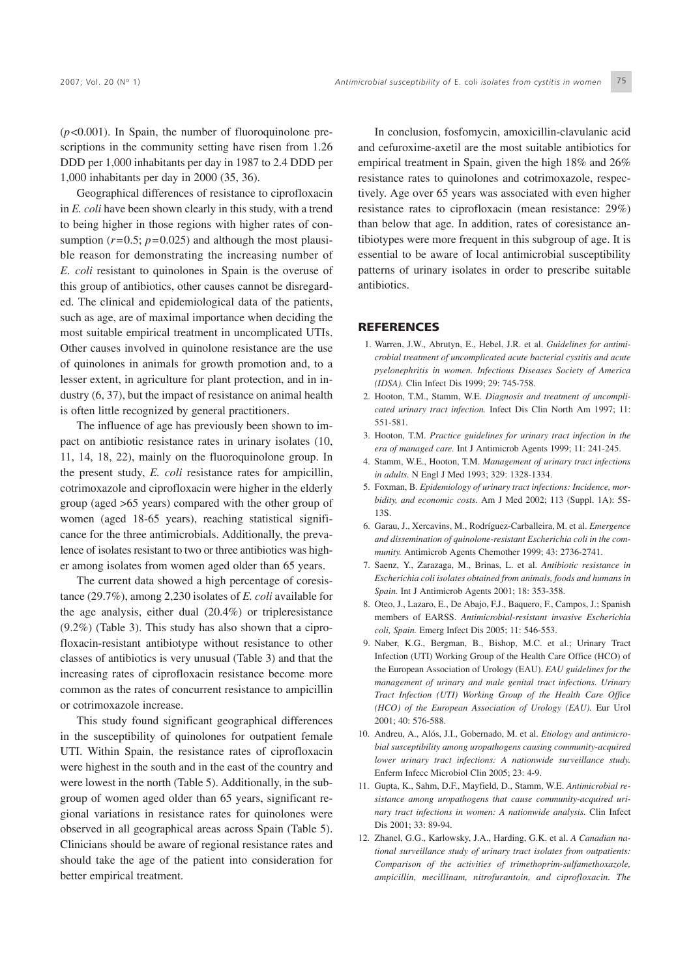(*p*<0.001). In Spain, the number of fluoroquinolone prescriptions in the community setting have risen from 1.26 DDD per 1,000 inhabitants per day in 1987 to 2.4 DDD per 1,000 inhabitants per day in 2000 (35, 36).

Geographical differences of resistance to ciprofloxacin in *E. coli* have been shown clearly in this study, with a trend to being higher in those regions with higher rates of consumption  $(r=0.5; p=0.025)$  and although the most plausible reason for demonstrating the increasing number of *E. coli* resistant to quinolones in Spain is the overuse of this group of antibiotics, other causes cannot be disregarded. The clinical and epidemiological data of the patients, such as age, are of maximal importance when deciding the most suitable empirical treatment in uncomplicated UTIs. Other causes involved in quinolone resistance are the use of quinolones in animals for growth promotion and, to a lesser extent, in agriculture for plant protection, and in industry (6, 37), but the impact of resistance on animal health is often little recognized by general practitioners.

The influence of age has previously been shown to impact on antibiotic resistance rates in urinary isolates (10, 11, 14, 18, 22), mainly on the fluoroquinolone group. In the present study, *E. coli* resistance rates for ampicillin, cotrimoxazole and ciprofloxacin were higher in the elderly group (aged >65 years) compared with the other group of women (aged 18-65 years), reaching statistical significance for the three antimicrobials. Additionally, the prevalence of isolates resistant to two or three antibiotics was higher among isolates from women aged older than 65 years.

The current data showed a high percentage of coresistance (29.7%), among 2,230 isolates of *E. coli* available for the age analysis, either dual (20.4%) or tripleresistance (9.2%) (Table 3). This study has also shown that a ciprofloxacin-resistant antibiotype without resistance to other classes of antibiotics is very unusual (Table 3) and that the increasing rates of ciprofloxacin resistance become more common as the rates of concurrent resistance to ampicillin or cotrimoxazole increase.

This study found significant geographical differences in the susceptibility of quinolones for outpatient female UTI. Within Spain, the resistance rates of ciprofloxacin were highest in the south and in the east of the country and were lowest in the north (Table 5). Additionally, in the subgroup of women aged older than 65 years, significant regional variations in resistance rates for quinolones were observed in all geographical areas across Spain (Table 5). Clinicians should be aware of regional resistance rates and should take the age of the patient into consideration for better empirical treatment.

In conclusion, fosfomycin, amoxicillin-clavulanic acid and cefuroxime-axetil are the most suitable antibiotics for empirical treatment in Spain, given the high 18% and 26% resistance rates to quinolones and cotrimoxazole, respectively. Age over 65 years was associated with even higher resistance rates to ciprofloxacin (mean resistance: 29%) than below that age. In addition, rates of coresistance antibiotypes were more frequent in this subgroup of age. It is essential to be aware of local antimicrobial susceptibility patterns of urinary isolates in order to prescribe suitable antibiotics.

#### **REFERENCES**

- 1. Warren, J.W., Abrutyn, E., Hebel, J.R. et al. *Guidelines for antimicrobial treatment of uncomplicated acute bacterial cystitis and acute pyelonephritis in women. Infectious Diseases Society of America (IDSA).* Clin Infect Dis 1999; 29: 745-758.
- 2. Hooton, T.M., Stamm, W.E. *Diagnosis and treatment of uncomplicated urinary tract infection.* Infect Dis Clin North Am 1997; 11: 551-581.
- 3. Hooton, T.M. *Practice guidelines for urinary tract infection in the era of managed care.* Int J Antimicrob Agents 1999; 11: 241-245.
- 4. Stamm, W.E., Hooton, T.M. *Management of urinary tract infections in adults.* N Engl J Med 1993; 329: 1328-1334.
- 5. Foxman, B. *Epidemiology of urinary tract infections: Incidence, morbidity, and economic costs.* Am J Med 2002; 113 (Suppl. 1A): 5S-13S.
- 6. Garau, J., Xercavins, M., Rodríguez-Carballeira, M. et al. *Emergence and dissemination of quinolone-resistant Escherichia coli in the community.* Antimicrob Agents Chemother 1999; 43: 2736-2741.
- 7. Saenz, Y., Zarazaga, M., Brinas, L. et al. *Antibiotic resistance in Escherichia coli isolates obtained from animals, foods and humans in Spain.* Int J Antimicrob Agents 2001; 18: 353-358.
- 8. Oteo, J., Lazaro, E., De Abajo, F.J., Baquero, F., Campos, J.; Spanish members of EARSS. *Antimicrobial-resistant invasive Escherichia coli, Spain.* Emerg Infect Dis 2005; 11: 546-553.
- 9. Naber, K.G., Bergman, B., Bishop, M.C. et al.; Urinary Tract Infection (UTI) Working Group of the Health Care Office (HCO) of the European Association of Urology (EAU). *EAU guidelines for the management of urinary and male genital tract infections. Urinary Tract Infection (UTI) Working Group of the Health Care Office (HCO) of the European Association of Urology (EAU).* Eur Urol 2001; 40: 576-588.
- 10. Andreu, A., Alós, J.I., Gobernado, M. et al. *Etiology and antimicrobial susceptibility among uropathogens causing community-acquired lower urinary tract infections: A nationwide surveillance study.* Enferm Infecc Microbiol Clin 2005; 23: 4-9.
- 11. Gupta, K., Sahm, D.F., Mayfield, D., Stamm, W.E. *Antimicrobial resistance among uropathogens that cause community-acquired urinary tract infections in women: A nationwide analysis.* Clin Infect Dis 2001: 33: 89-94.
- 12. Zhanel, G.G., Karlowsky, J.A., Harding, G.K. et al. *A Canadian national surveillance study of urinary tract isolates from outpatients: Comparison of the activities of trimethoprim-sulfamethoxazole, ampicillin, mecillinam, nitrofurantoin, and ciprofloxacin. The*